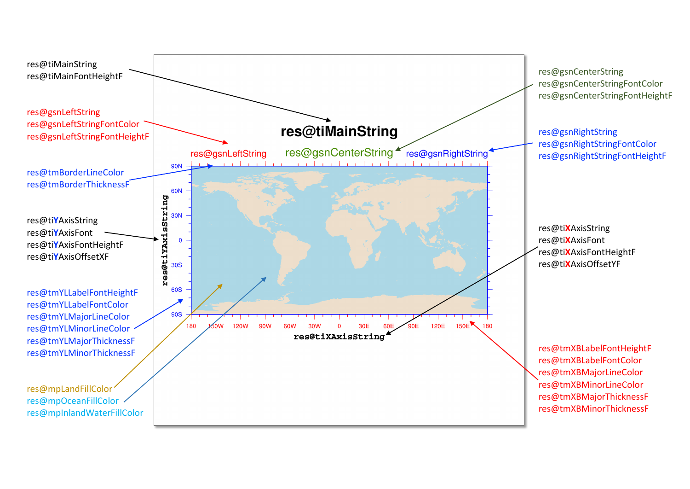